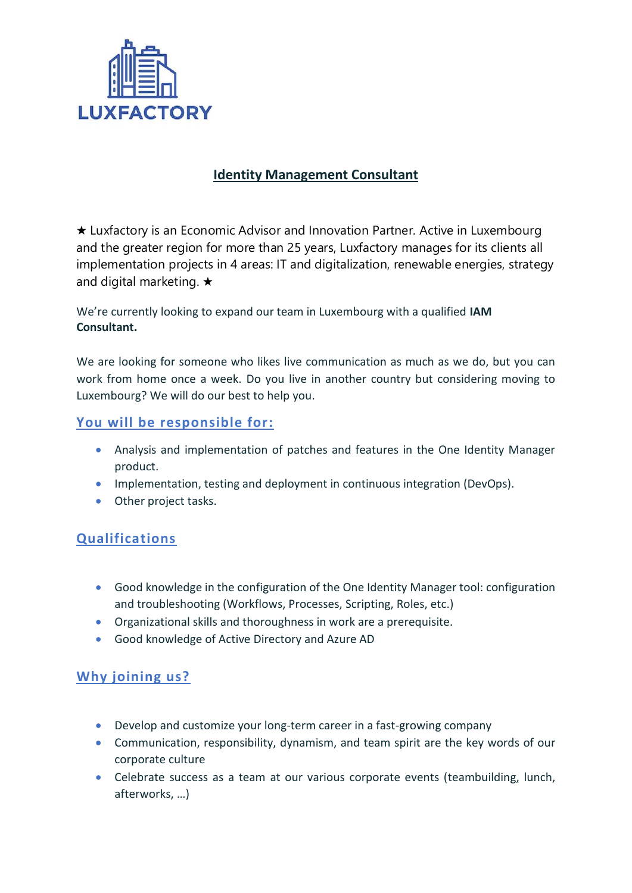

## **Identity Management Consultant**

★ Luxfactory is an Economic Advisor and Innovation Partner. Active in Luxembourg and the greater region for more than 25 years, Luxfactory manages for its clients all implementation projects in 4 areas: IT and digitalization, renewable energies, strategy and digital marketing. ★

We're currently looking to expand our team in Luxembourg with a qualified **IAM Consultant.**

We are looking for someone who likes live communication as much as we do, but you can work from home once a week. Do you live in another country but considering moving to Luxembourg? We will do our best to help you.

## **You will be responsible for:**

- Analysis and implementation of patches and features in the One Identity Manager product.
- Implementation, testing and deployment in continuous integration (DevOps).
- Other project tasks.

## **Qualifications**

- Good knowledge in the configuration of the One Identity Manager tool: configuration and troubleshooting (Workflows, Processes, Scripting, Roles, etc.)
- Organizational skills and thoroughness in work are a prerequisite.
- Good knowledge of Active Directory and Azure AD

## **Why joining us?**

- Develop and customize your long-term career in a fast-growing company
- Communication, responsibility, dynamism, and team spirit are the key words of our corporate culture
- Celebrate success as a team at our various corporate events (teambuilding, lunch, afterworks, …)